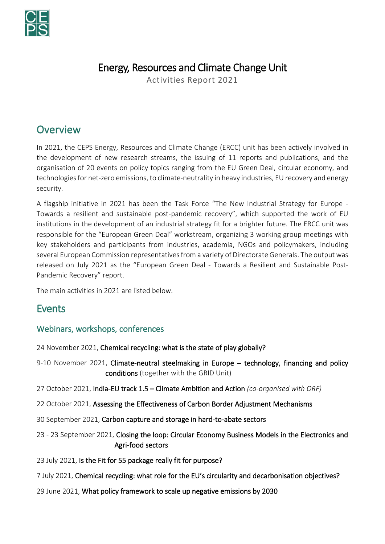

# Energy, Resources and Climate Change Unit

Activities Report 2021

## **Overview**

In 2021, the CEPS Energy, Resources and Climate Change (ERCC) unit has been actively involved in the development of new research streams, the issuing of 11 reports and publications, and the organisation of 20 events on policy topics ranging from the EU Green Deal, circular economy, and technologies for net-zero emissions, to climate-neutrality in heavy industries, EU recovery and energy security.

A flagship initiative in 2021 has been the Task Force "The New Industrial Strategy for Europe - Towards a resilient and sustainable post-pandemic recovery", which supported the work of EU institutions in the development of an industrial strategy fit for a brighter future. The ERCC unit was responsible for the "European Green Deal" workstream, organizing 3 working group meetings with key stakeholders and participants from industries, academia, NGOs and policymakers, including several European Commission representatives from a variety of Directorate Generals. The output was released on July 2021 as the "European Green Deal - Towards a Resilient and Sustainable Post-Pandemic Recovery" report.

The main activities in 2021 are listed below.

## **Events**

## Webinars, workshops, conferences

24 November 2021, Chemical recycling: what is the state of play globally?

- 9-10 November 2021, Climate-neutral steelmaking in Europe technology, financing and policy conditions (together with the GRID Unit)
- 27 October 2021, India-EU track 1.5 Climate Ambition and Action *(co-organised with ORF)*
- 22 October 2021, Assessing the Effectiveness of Carbon Border Adjustment Mechanisms
- 30 September 2021, Carbon capture and storage in hard-to-abate sectors
- 23 23 September 2021, Closing the loop: Circular Economy Business Models in the Electronics and Agri-food sectors
- 23 July 2021, Is the Fit for 55 package really fit for purpose?
- 7 July 2021, Chemical recycling: what role for the EU's circularity and decarbonisation objectives?
- 29 June 2021, What policy framework to scale up negative emissions by 2030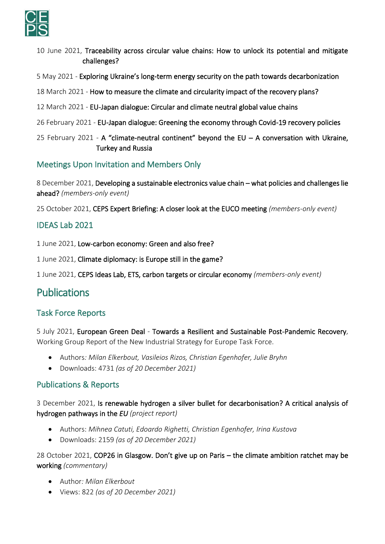

- 10 June 2021, Traceability across circular value chains: How to unlock its potential and mitigate challenges?
- 5 May 2021 Exploring Ukraine's long-term energy security on the path towards decarbonization
- 18 March 2021 How to measure the climate and circularity impact of the recovery plans?
- 12 March 2021 EU-Japan dialogue: Circular and climate neutral global value chains
- 26 February 2021 EU-Japan dialogue: Greening the economy through Covid-19 recovery policies
- 25 February 2021 A "climate-neutral continent" beyond the EU  $-$  A conversation with Ukraine, Turkey and Russia

## Meetings Upon Invitation and Members Only

8 December 2021, Developing a sustainable electronics value chain – what policies and challenges lie ahead? *(members-only event)*

25 October 2021, CEPS Expert Briefing: A closer look at the EUCO meeting *(members-only event)*

### IDEAS Lab 2021

1 June 2021, Low-carbon economy: Green and also free?

1 June 2021, Climate diplomacy: is Europe still in the game?

1 June 2021, CEPS Ideas Lab, ETS, carbon targets or circular economy *(members-only event)*

## Publications

#### Task Force Reports

5 July 2021, European Green Deal - Towards a Resilient and Sustainable Post-Pandemic Recovery, Working Group Report of the New Industrial Strategy for Europe Task Force.

- Authors*: Milan Elkerbout, Vasileios Rizos, Christian Egenhofer, Julie Bryhn*
- Downloads: 4731 *(as of 20 December 2021)*

#### Publications & Reports

3 December 2021, Is renewable hydrogen a silver bullet for decarbonisation? A critical analysis of hydrogen pathways in the *EU (project report)*

- Authors: *Mihnea Catuti, Edoardo Righetti, Christian Egenhofer, Irina Kustova*
- Downloads: 2159 *(as of 20 December 2021)*

28 October 2021, COP26 in Glasgow. Don't give up on Paris – the climate ambition ratchet may be working *(commentary)*

- Author*: Milan Elkerbout*
- Views: 822 *(as of 20 December 2021)*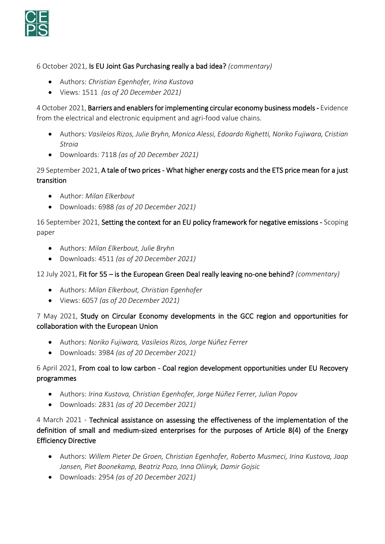

6 October 2021, Is EU Joint Gas Purchasing really a bad idea? *(commentary)*

- Authors: *Christian Egenhofer, Irina Kustova*
- Views*:* 1511 *(as of 20 December 2021)*

4 October 2021, Barriers and enablers for implementing circular economy business models - Evidence from the electrical and electronic equipment and agri-food value chains.

- Authors*: Vasileios Rizos, Julie Bryhn, Monica Alessi, Edoardo Righetti, Noriko Fujiwara, Cristian Stroia*
- Downloards: 7118 *(as of 20 December 2021)*

### 29 September 2021, A tale of two prices - What higher energy costs and the ETS price mean for a just transition

- Author: *Milan Elkerbout*
- Downloads: 6988 *(as of 20 December 2021)*

16 September 2021, Setting the context for an EU policy framework for negative emissions - Scoping paper

- Authors: *Milan Elkerbout, Julie Bryhn*
- Downloads: 4511 *(as of 20 December 2021)*

12 July 2021, Fit for 55 – is the European Green Deal really leaving no-one behind? *(commentary)*

- Authors: *Milan Elkerbout, Christian Egenhofer*
- Views: 6057 *(as of 20 December 2021)*

#### 7 May 2021, Study on Circular Economy developments in the GCC region and opportunities for collaboration with the European Union

- Authors: *Noriko Fujiwara, Vasileios Rizos, Jorge Núñez Ferrer*
- Downloads: 3984 *(as of 20 December 2021)*

### 6 April 2021, From coal to low carbon - Coal region development opportunities under EU Recovery programmes

- Authors: *Irina Kustova, Christian Egenhofer, Jorge Núñez Ferrer, Julian Popov*
- Downloads: 2831 *(as of 20 December 2021)*

4 March 2021 - Technical assistance on assessing the effectiveness of the implementation of the definition of small and medium-sized enterprises for the purposes of Article 8(4) of the Energy Efficiency Directive

- Authors: *Willem Pieter De Groen, Christian Egenhofer, Roberto Musmeci, Irina Kustova, Jaap Jansen, Piet Boonekamp, Beatriz Pozo, Inna Oliinyk, Damir Gojsic*
- Downloads: 2954 *(as of 20 December 2021)*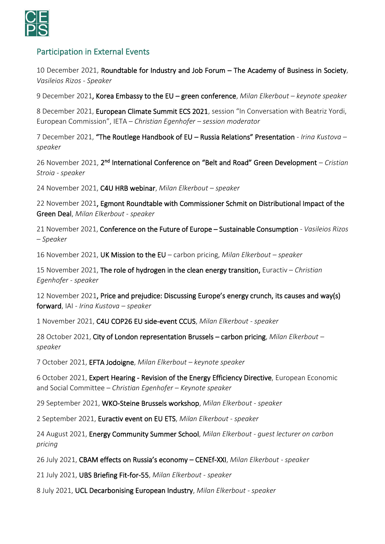

## Participation in External Events

10 December 2021, Roundtable for Industry and Job Forum – The Academy of Business in Society, *Vasileios Rizos - Speaker*

9 December 2021, Korea Embassy to the EU – green conference, *Milan Elkerbout – keynote speaker*

8 December 2021, European Climate Summit ECS 2021, session "In Conversation with Beatriz Yordi, European Commission", IETA *– Christian Egenhofer – session moderator*

7 December 2021, "The Routlege Handbook of EU – Russia Relations" Presentation - *Irina Kustova – speaker*

26 November 2021, 2<sup>nd</sup> International Conference on "Belt and Road" Green Development - Cristian *Stroia - speaker*

24 November 2021, C4U HRB webinar, *Milan Elkerbout – speaker*

22 November 2021, Egmont Roundtable with Commissioner Schmit on Distributional Impact of the Green Deal, *Milan Elkerbout - speaker*

21 November 2021, Conference on the Future of Europe – Sustainable Consumption *- Vasileios Rizos – Speaker*

16 November 2021, UK Mission to the EU – carbon pricing, *Milan Elkerbout – speaker*

15 November 2021, The role of hydrogen in the clean energy transition, Euractiv – *Christian Egenhofer - speaker*

12 November 2021, Price and prejudice: Discussing Europe's energy crunch, its causes and way(s) forward, IAI - *Irina Kustova – speaker*

1 November 2021, C4U COP26 EU side-event CCUS, *Milan Elkerbout - speaker*

28 October 2021, City of London representation Brussels – carbon pricing, *Milan Elkerbout – speaker*

7 October 2021, EFTA Jodoigne, *Milan Elkerbout – keynote speaker*

6 October 2021, Expert Hearing - Revision of the Energy Efficiency Directive, European Economic and Social Committee – *Christian Egenhofer – Keynote speaker*

29 September 2021, WKO-Steine Brussels workshop, *Milan Elkerbout - speaker*

2 September 2021, Euractiv event on EU ETS, *Milan Elkerbout - speaker*

24 August 2021, Energy Community Summer School, *Milan Elkerbout - guest lecturer on carbon pricing*

26 July 2021, CBAM effects on Russia's economy – CENEf-XXI, *Milan Elkerbout - speaker*

21 July 2021, UBS Briefing Fit-for-55, *Milan Elkerbout - speaker*

8 July 2021, UCL Decarbonising European Industry, *Milan Elkerbout - speaker*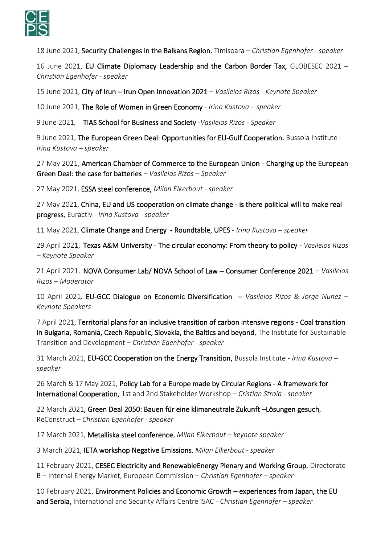

18 June 2021, Security Challenges in the Balkans Region, Timisoara – *Christian Egenhofer - speaker*

16 June 2021, EU Climate Diplomacy Leadership and the Carbon Border Tax, GLOBESEC 2021 – *Christian Egenhofer - speaker*

15 June 2021, City of Irun – Irun Open Innovation 2021 *– Vasileios Rizos - Keynote Speaker*

10 June 2021, The Role of Women in Green Economy - *Irina Kustova – speaker*

9 June 2021*,* TIAS School for Business and Society *-Vasileios Rizos - Speaker*

9 June 2021, The European Green Deal: Opportunities for EU-Gulf Cooperation, Bussola Institute - *Irina Kustova – speaker*

27 May 2021, American Chamber of Commerce to the European Union - Charging up the European Green Deal: the case for batteries *– Vasileios Rizos – Speaker*

27 May 2021, ESSA steel conference, *Milan Elkerbout - speaker*

27 May 2021, China, EU and US cooperation on climate change - is there political will to make real progress, Euractiv - *Irina Kustova - speaker*

11 May 2021, Climate Change and Energy - Roundtable, UPES - *Irina Kustova – speaker*

29 April 2021, Texas A&M University - The circular economy: From theory to policy *- Vasileios Rizos – Keynote Speaker*

21 April 2021, NOVA Consumer Lab/ NOVA School of Law – Consumer Conference 2021 *– Vasileios Rizos – Moderator*

10 April 2021*,* EU-GCC Dialogue on Economic Diversification – *Vasileios Rizos & Jorge Nunez – Keynote Speakers*

7 April 2021, Territorial plans for an inclusive transition of carbon intensive regions - Coal transition in Bulgaria, Romania, Czech Republic, Slovakia, the Baltics and beyond, The Institute for Sustainable Transition and Development – *Christian Egenhofer - speaker*

31 March 2021, EU-GCC Cooperation on the Energy Transition, Bussola Institute - *Irina Kustova – speaker*

26 March & 17 May 2021, Policy Lab for a Europe made by Circular Regions - A framework for International Cooperation, 1st and 2nd Stakeholder Workshop – *Cristian Stroia - speaker*

22 March 2021, Green Deal 2050: Bauen für eine klimaneutrale Zukunft –Lösungen gesuch, ReConstruct – *Christian Egenhofer - speaker*

17 March 2021, Metalliska steel conference, *Milan Elkerbout – keynote speaker*

3 March 2021, IETA workshop Negative Emissions, *Milan Elkerbout - speaker*

11 February 2021, CESEC Electricity and RenewableEnergy Plenary and Working Group, Directorate B – Internal Energy Market, European Commission – *Christian Egenhofer – speaker*

10 February 2021, Environment Policies and Economic Growth – experiences from Japan, the EU and Serbia, International and Security Affairs Centre ISAC *- Christian Egenhofer – speaker*